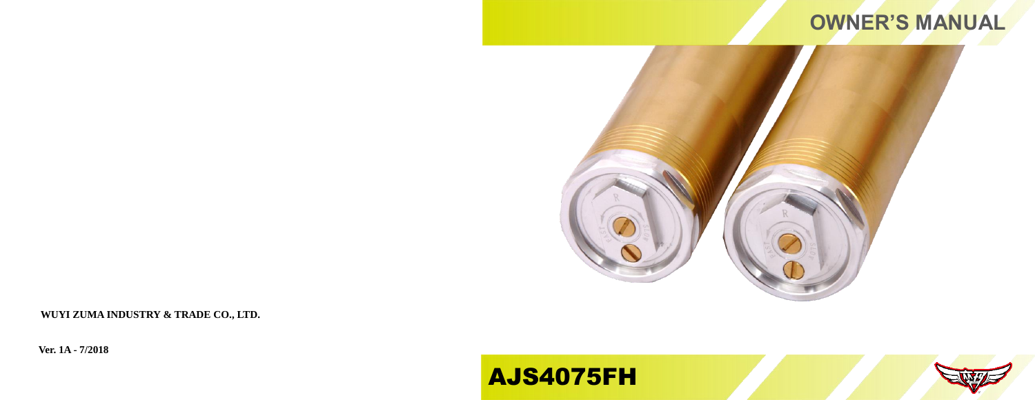# **OWNER'S MANUAL**



**WUYI ZUMA INDUSTRY & TRADE CO., LTD.**

**Ver. 1A - 7/2018**

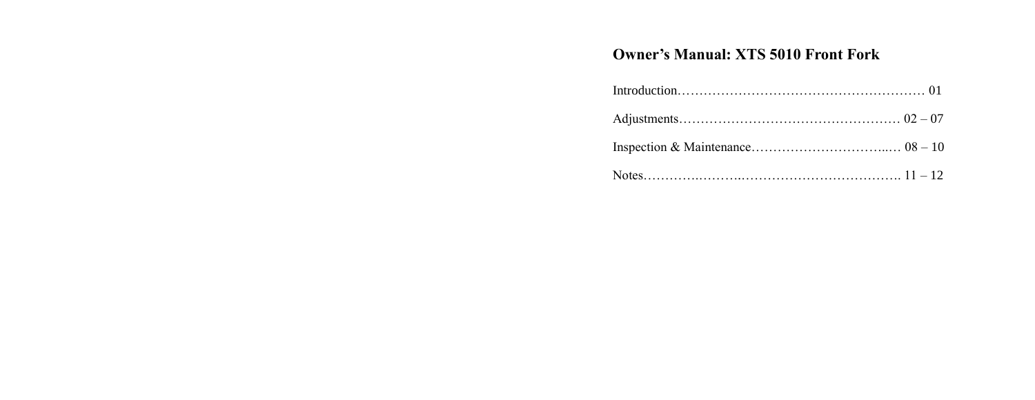# **Owner's Manual: XTS 5010 Front Fork**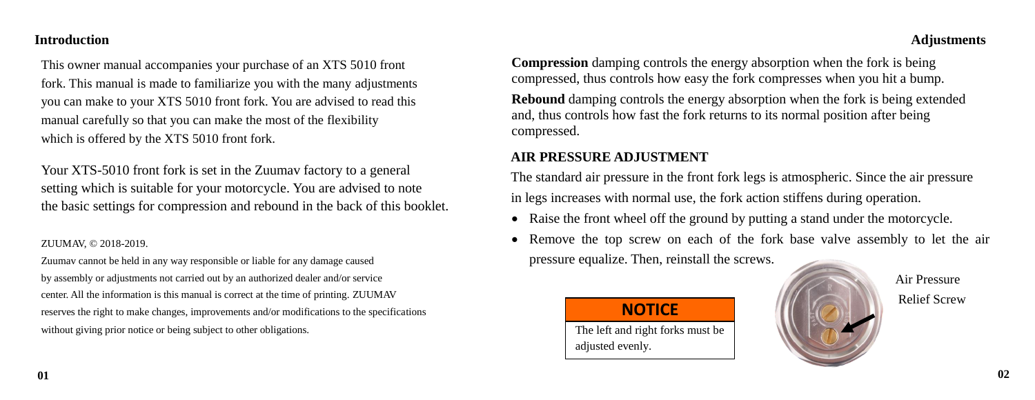#### **Introduction**

This owner manual accompanies your purchase of an XTS 5010 front fork. This manual is made to familiarize you with the many adjustments you can make to your XTS 5010 front fork. You are advised to read this manual carefully so that you can make the most of the flexibility which is offered by the XTS 5010 front fork.

Your XTS-5010 front fork is set in the Zuumav factory to a general setting which is suitable for your motorcycle. You are advised to note the basic settings for compression and rebound in the back of this booklet.

#### ZUUMAV, © 2018-2019.

Zuumav cannot be held in any way responsible or liable for any damage caused by assembly or adjustments not carried out by an authorized dealer and/or service center. All the information is this manual is correct at the time of printing. ZUUMAV reserves the right to make changes, improvements and/or modifications to the specifications without giving prior notice or being subject to other obligations.

#### **Adjustments**

**Compression** damping controls the energy absorption when the fork is being compressed, thus controls how easy the fork compresses when you hit a bump.

**Rebound** damping controls the energy absorption when the fork is being extended and, thus controls how fast the fork returns to its normal position after being compressed.

### **AIR PRESSURE ADJUSTMENT**

 $\overline{a}$ 

 The standard air pressure in the front fork legs is atmospheric. Since the air pressure in legs increases with normal use, the fork action stiffens during operation.

- Raise the front wheel off the ground by putting a stand under the motorcycle.
- Remove the top screw on each of the fork base valve assembly to let the air pressure equalize. Then, reinstall the screws.

# **NOTICE**

j The left and right forks must be adjusted evenly.

 Air Pressure Relief Screw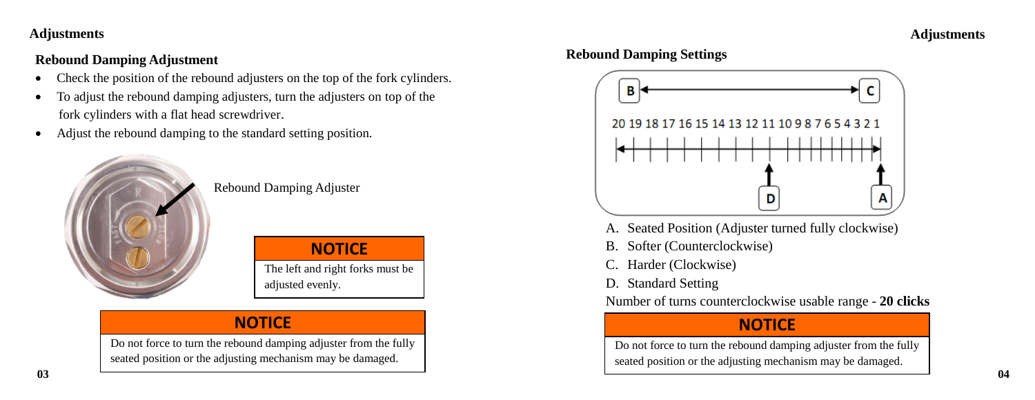### **Adjustments**

## **Rebound Damping Adjustment**

- Check the position of the rebound adjusters on the top of the fork cylinders.
- To adjust the rebound damping adjusters, turn the adjusters on top of the fork cylinders with a flat head screwdriver.
- Adjust the rebound damping to the standard setting position.



Rebound Damping Adjuster

The left and right forks must be **NOTICE**

adjusted evenly.

# **NOTICE**  $\overline{\phantom{a}}$

Do not force to turn the rebound damping adjuster from the fully seated position or the adjusting mechanism may be damaged.  $\overline{a}$ 

### **Rebound Damping Settings**



- A. Seated Position (Adjuster turned fully clockwise)
- B. Softer (Counterclockwise)
- C. Harder (Clockwise)
- D. Standard Setting

Number of turns counterclockwise usable range - **20 clicks**

# **NOTICE**

Do not force to turn the rebound damping adjuster from the fully seated position or the adjusting mechanism may be damaged. 1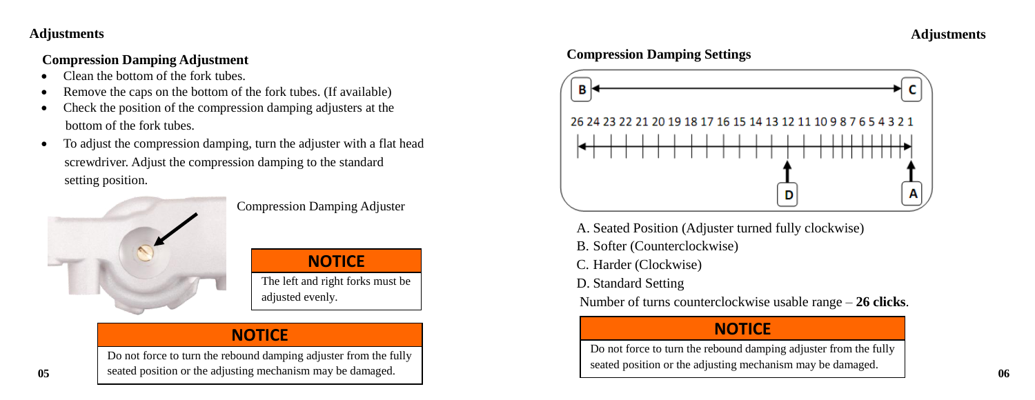#### **Adjustments**

## **Adjustments**

### **Compression Damping Adjustment**

- Clean the bottom of the fork tubes.
- Remove the caps on the bottom of the fork tubes. (If available)
- Check the position of the compression damping adjusters at the bottom of the fork tubes.
- To adjust the compression damping, turn the adjuster with a flat head screwdriver. Adjust the compression damping to the standard setting position.



Compression Damping Adjuster

The left and right forks must be adjusted evenly.  $\overline{a}$ **NOTICE**

# **NOTICE**

**05** eated position or the adjusting mechanism may be damaged. 06 Do not force to turn the rebound damping adjuster from the fully  $\overline{a}$ 

### **Compression Damping Settings**



- A. Seated Position (Adjuster turned fully clockwise)
- B. Softer (Counterclockwise)
- C. Harder (Clockwise)
- D. Standard Setting
- Number of turns counterclockwise usable range **26 clicks**.

# **NOTICE**

Do not force to turn the rebound damping adjuster from the fully seated position or the adjusting mechanism may be damaged. j